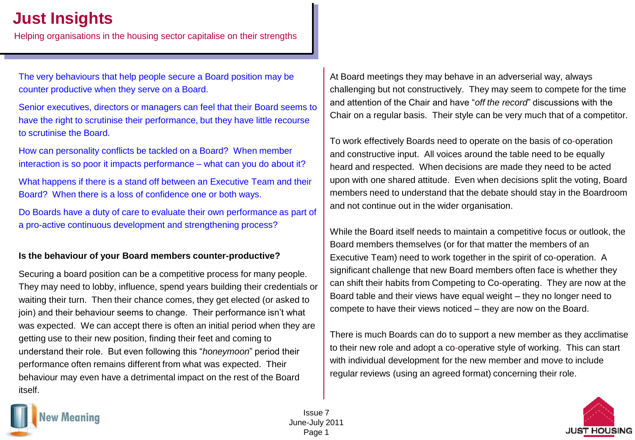# **Just Insights**

Helping organisations in the housing sector capitalise on their strengths

The very behaviours that help people secure a Board position may be counter productive when they serve on a Board.

Senior executives, directors or managers can feel that their Board seems to have the right to scrutinise their performance, but they have little recourse to scrutinise the Board.

How can personality conflicts be tackled on a Board? When member interaction is so poor it impacts performance – what can you do about it?

What happens if there is a stand off between an Executive Team and their Board? When there is a loss of confidence one or both ways.

Do Boards have a duty of care to evaluate their own performance as part of a pro-active continuous development and strengthening process?

### **Is the behaviour of your Board members counter-productive?**

Securing a board position can be a competitive process for many people. They may need to lobby, influence, spend years building their credentials or waiting their turn. Then their chance comes, they get elected (or asked to join) and their behaviour seems to change. Their performance isn't what was expected. We can accept there is often an initial period when they are getting use to their new position, finding their feet and coming to understand their role. But even following this "*honeymoon*" period their performance often remains different from what was expected. Their behaviour may even have a detrimental impact on the rest of the Board itself.

At Board meetings they may behave in an adverserial way, always challenging but not constructively. They may seem to compete for the time and attention of the Chair and have "*off the record*" discussions with the Chair on a regular basis. Their style can be very much that of a competitor.

To work effectively Boards need to operate on the basis of co-operation and constructive input. All voices around the table need to be equally heard and respected. When decisions are made they need to be acted upon with one shared attitude. Even when decisions split the voting, Board members need to understand that the debate should stay in the Boardroom and not continue out in the wider organisation.

While the Board itself needs to maintain a competitive focus or outlook, the Board members themselves (or for that matter the members of an Executive Team) need to work together in the spirit of co-operation. A significant challenge that new Board members often face is whether they can shift their habits from Competing to Co-operating. They are now at the Board table and their views have equal weight – they no longer need to compete to have their views noticed – they are now on the Board.

There is much Boards can do to support a new member as they acclimatise to their new role and adopt a co-operative style of working. This can start with individual development for the new member and move to include regular reviews (using an agreed format) concerning their role.



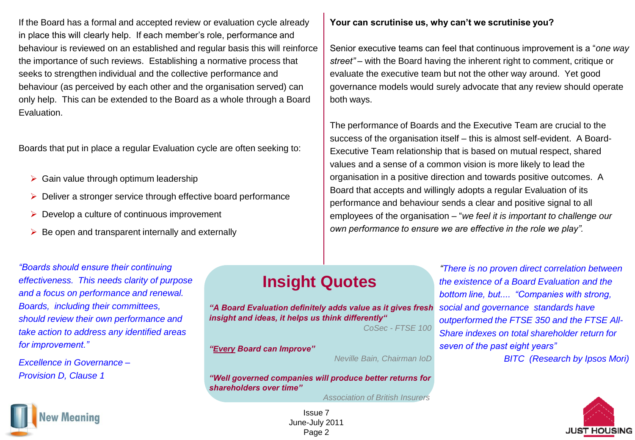If the Board has a formal and accepted review or evaluation cycle already in place this will clearly help. If each member's role, performance and behaviour is reviewed on an established and regular basis this will reinforce the importance of such reviews. Establishing a normative process that seeks to strengthen individual and the collective performance and behaviour (as perceived by each other and the organisation served) can only help. This can be extended to the Board as a whole through a Board Evaluation.

Boards that put in place a regular Evaluation cycle are often seeking to:

- $\triangleright$  Gain value through optimum leadership
- Deliver a stronger service through effective board performance
- $\triangleright$  Develop a culture of continuous improvement
- $\triangleright$  Be open and transparent internally and externally

### **Your can scrutinise us, why can't we scrutinise you?**

Senior executive teams can feel that continuous improvement is a "*one way street"* – with the Board having the inherent right to comment, critique or evaluate the executive team but not the other way around. Yet good governance models would surely advocate that any review should operate both ways.

The performance of Boards and the Executive Team are crucial to the success of the organisation itself – this is almost self-evident. A Board-Executive Team relationship that is based on mutual respect, shared values and a sense of a common vision is more likely to lead the organisation in a positive direction and towards positive outcomes. A Board that accepts and willingly adopts a regular Evaluation of its performance and behaviour sends a clear and positive signal to all employees of the organisation – "*we feel it is important to challenge our own performance to ensure we are effective in the role we play".*

### *"Boards should ensure their continuing effectiveness. This needs clarity of purpose and a focus on performance and renewal. Boards, including their committees, should review their own performance and take action to address any identified areas for improvement."*

*Excellence in Governance – Provision D, Clause 1*

# ew Meanina

## **Insight Quotes**

*"A Board Evaluation definitely adds value as it gives fresh insight and ideas, it helps us think differently"*

*CoSec - FTSE 100*

*"Every Board can Improve"*

*Neville Bain, Chairman IoD*

*"Well governed companies will produce better returns for shareholders over time"*

*Association of British Insurers*

Issue 7 June-July 2011 Page 2

*"There is no proven direct correlation between the existence of a Board Evaluation and the bottom line, but.... "Companies with strong, social and governance standards have outperformed the FTSE 350 and the FTSE All-Share indexes on total shareholder return for seven of the past eight years"* 

*BITC (Research by Ipsos Mori)*

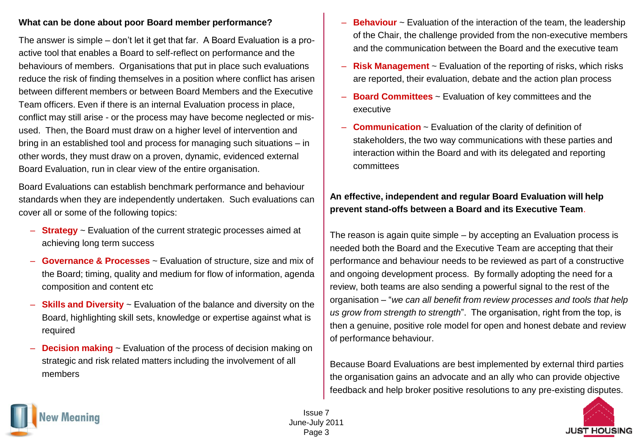### **What can be done about poor Board member performance?**

The answer is simple – don't let it get that far. A Board Evaluation is a proactive tool that enables a Board to self-reflect on performance and the behaviours of members. Organisations that put in place such evaluations reduce the risk of finding themselves in a position where conflict has arisen between different members or between Board Members and the Executive Team officers. Even if there is an internal Evaluation process in place, conflict may still arise - or the process may have become neglected or misused. Then, the Board must draw on a higher level of intervention and bring in an established tool and process for managing such situations – in other words, they must draw on a proven, dynamic, evidenced external Board Evaluation, run in clear view of the entire organisation.

Board Evaluations can establish benchmark performance and behaviour standards when they are independently undertaken. Such evaluations can cover all or some of the following topics:

- **Strategy** ~ Evaluation of the current strategic processes aimed at achieving long term success
- **Governance & Processes** ~ Evaluation of structure, size and mix of the Board; timing, quality and medium for flow of information, agenda composition and content etc
- **Skills and Diversity** ~ Evaluation of the balance and diversity on the Board, highlighting skill sets, knowledge or expertise against what is required
- **Decision making** ~ Evaluation of the process of decision making on strategic and risk related matters including the involvement of all members
- **Behaviour** ~ Evaluation of the interaction of the team, the leadership of the Chair, the challenge provided from the non-executive members and the communication between the Board and the executive team
- **Risk Management** ~ Evaluation of the reporting of risks, which risks are reported, their evaluation, debate and the action plan process
- **Board Committees** ~ Evaluation of key committees and the executive
- **Communication** ~ Evaluation of the clarity of definition of stakeholders, the two way communications with these parties and interaction within the Board and with its delegated and reporting committees

## **An effective, independent and regular Board Evaluation will help prevent stand-offs between a Board and its Executive Team**.

The reason is again quite simple – by accepting an Evaluation process is needed both the Board and the Executive Team are accepting that their performance and behaviour needs to be reviewed as part of a constructive and ongoing development process. By formally adopting the need for a review, both teams are also sending a powerful signal to the rest of the organisation – "*we can all benefit from review processes and tools that help us grow from strength to strength*". The organisation, right from the top, is then a genuine, positive role model for open and honest debate and review of performance behaviour.

Because Board Evaluations are best implemented by external third parties the organisation gains an advocate and an ally who can provide objective feedback and help broker positive resolutions to any pre-existing disputes.